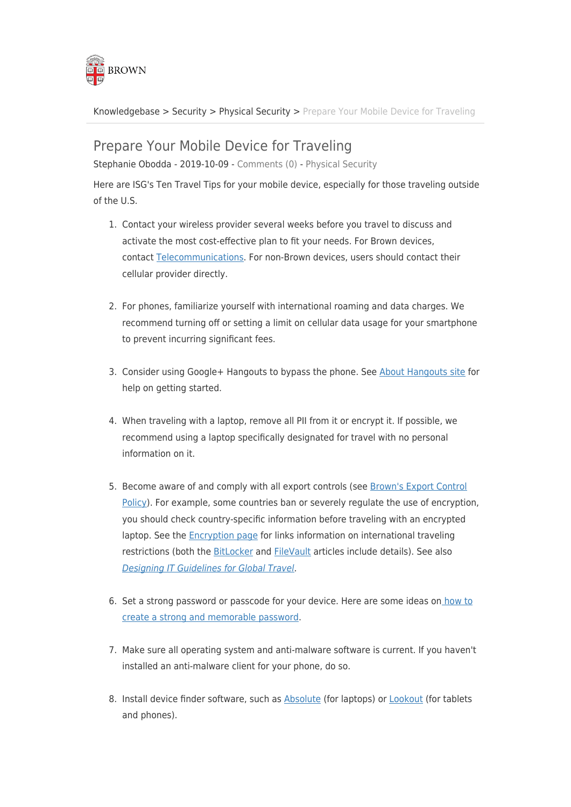

[Knowledgebase](https://ithelp.brown.edu/kb) > [Security](https://ithelp.brown.edu/kb/security-2) > [Physical Security](https://ithelp.brown.edu/kb/physical-security) > [Prepare Your Mobile Device for Traveling](https://ithelp.brown.edu/kb/articles/prepare-your-mobile-device-for-traveling)

## Prepare Your Mobile Device for Traveling

Stephanie Obodda - 2019-10-09 - [Comments \(0\)](#page--1-0) - [Physical Security](https://ithelp.brown.edu/kb/physical-security)

Here are ISG's Ten Travel Tips for your mobile device, especially for those traveling outside of the U.S.

- 1. Contact your wireless provider several weeks before you travel to discuss and activate the most cost-effective plan to fit your needs. For Brown devices, contact [Telecommunications](https://it.brown.edu/services/type/mobile-cellular-phone-purchasing). For non-Brown devices, users should contact their cellular provider directly.
- 2. For phones, familiarize yourself with international roaming and data charges. We recommend turning off or setting a limit on cellular data usage for your smartphone to prevent incurring significant fees.
- 3. Consider using Google+ Hangouts to bypass the phone. See [About Hangouts site](http://support.google.com/plus/bin/answer.py?hl=en&answer=1215273&topic=1257349&ctx=topic) for help on getting started.
- 4. When traveling with a laptop, remove all PII from it or encrypt it. If possible, we recommend using a laptop specifically designated for travel with no personal information on it.
- 5. Become aware of and comply with all export controls (see [Brown's Export Control](http://www.brown.edu/research/about-brown-research/policies/export-control-policy) [Policy](http://www.brown.edu/research/about-brown-research/policies/export-control-policy)). For example, some countries ban or severely regulate the use of encryption, you should check country-specific information before traveling with an encrypted laptop. See the [Encryption page](https://it.brown.edu/services/type/encryption) for links information on international traveling restrictions (both the [BitLocker](https://ithelp.brown.edu/kb/articles/147-learn-about-bitlocker-encryption-for-windows#Q7) and [FileVault](https://ithelp.brown.edu/kb/articles/244-learn-about-filevault-2-encryption-for-macs#Q6) articles include details). See also [Designing IT Guidelines for Global Travel](http://er.educause.edu/articles/2015/8/designing-it-guidelines-for-global-travel).
- 6. Set a strong password or passcode for your device. Here are some ideas on [how to](https://ithelp.brown.edu/kb/articles/682-create-a-strong-password) [create a strong and memorable password.](https://ithelp.brown.edu/kb/articles/682-create-a-strong-password)
- 7. Make sure all operating system and anti-malware software is current. If you haven't installed an anti-malware client for your phone, do so.
- 8. Install device finder software, such as [Absolute](https://www.absolute.com/platform/) (for laptops) or [Lookout](https://www.lookout.com/) (for tablets and phones).